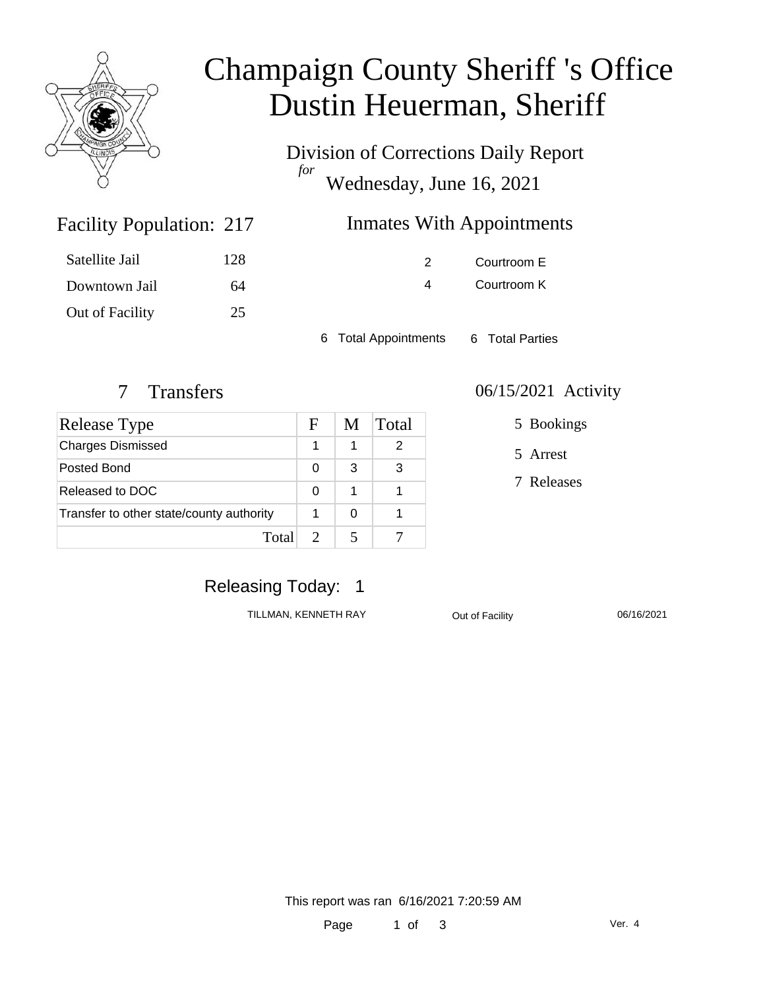

# Champaign County Sheriff 's Office Dustin Heuerman, Sheriff

Division of Corrections Daily Report *for* Wednesday, June 16, 2021

| 217 | <b>Inmates With Appointments</b> |
|-----|----------------------------------|
|     |                                  |

| Satellite Jail  | 128 |
|-----------------|-----|
| Downtown Jail   | 64  |
| Out of Facility | 25  |

Facility Population: 217

2 Courtroom E 4 Courtroom K

6 Total Appointments 6 Total Parties

| <b>Release Type</b>                      | $\mathbf{F}$ | M | <b>Total</b> |
|------------------------------------------|--------------|---|--------------|
| <b>Charges Dismissed</b>                 |              |   |              |
| Posted Bond                              | 0            | 3 | 3            |
| Released to DOC                          | 0            |   |              |
| Transfer to other state/county authority |              | 0 |              |
| Total                                    |              |   |              |

#### 7 Transfers 06/15/2021 Activity

5 Bookings

5 Arrest

7 Releases

## Releasing Today: 1

TILLMAN, KENNETH RAY Out of Facility 06/16/2021

This report was ran 6/16/2021 7:20:59 AM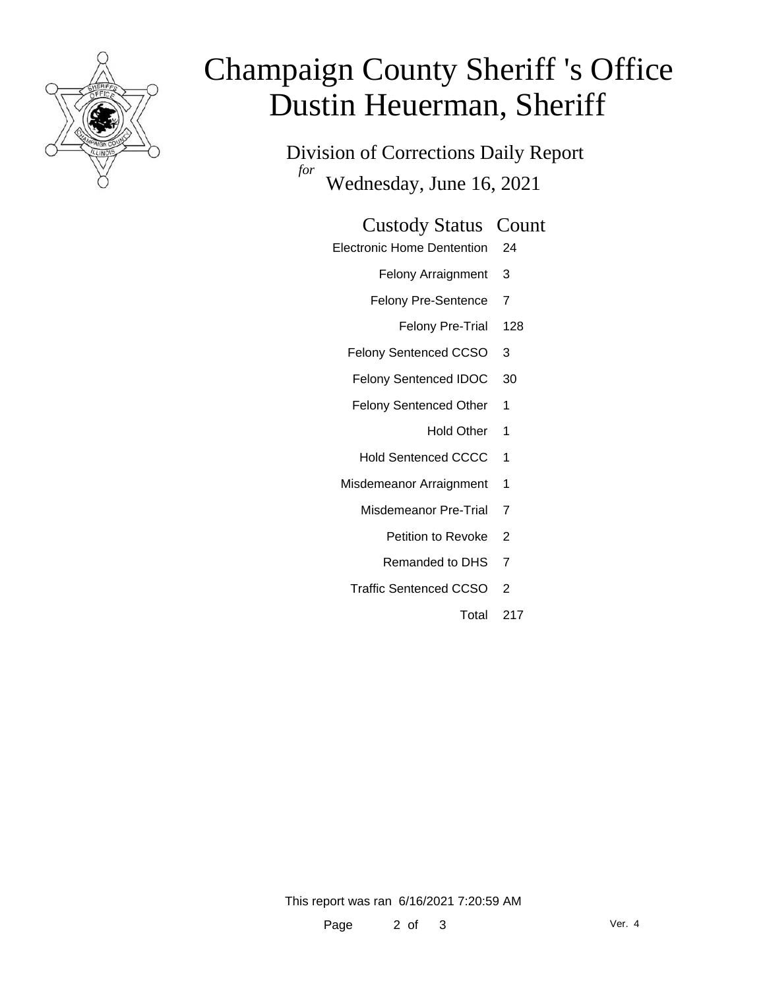

# Champaign County Sheriff 's Office Dustin Heuerman, Sheriff

Division of Corrections Daily Report *for* Wednesday, June 16, 2021

#### Custody Status Count

- Electronic Home Dentention 24
	- Felony Arraignment 3
	- Felony Pre-Sentence 7
		- Felony Pre-Trial 128
	- Felony Sentenced CCSO 3
	- Felony Sentenced IDOC 30
	- Felony Sentenced Other 1
		- Hold Other 1
	- Hold Sentenced CCCC 1
	- Misdemeanor Arraignment 1
		- Misdemeanor Pre-Trial 7
			- Petition to Revoke 2
			- Remanded to DHS 7
		- Traffic Sentenced CCSO 2
			- Total 217

This report was ran 6/16/2021 7:20:59 AM